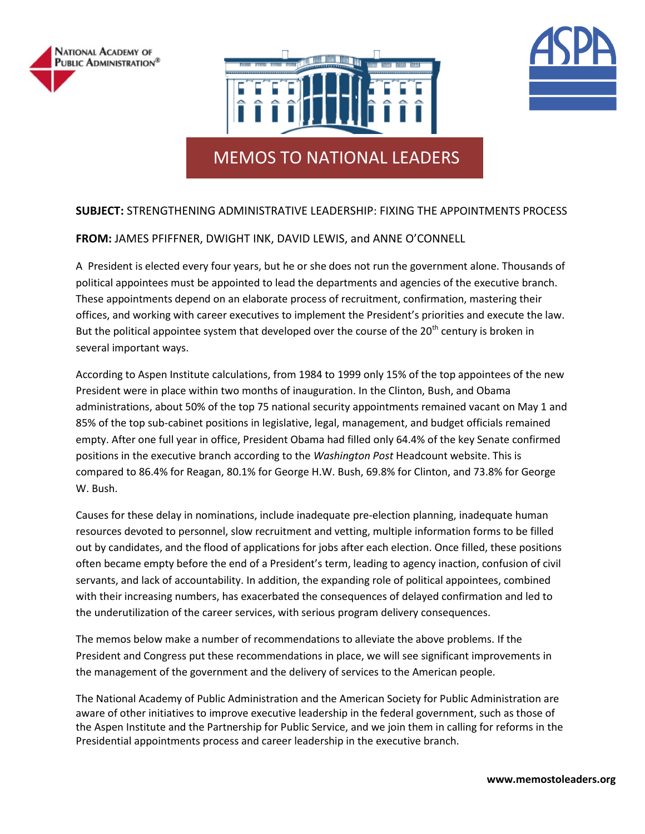





# MEMOS TO NATIONAL LEADERS

# **SUBJECT:** STRENGTHENING ADMINISTRATIVE LEADERSHIP: FIXING THE APPOINTMENTS PROCESS

# **FROM:** JAMES PFIFFNER, DWIGHT INK, DAVID LEWIS, and ANNE O'CONNELL

A President is elected every four years, but he or she does not run the government alone. Thousands of political appointees must be appointed to lead the departments and agencies of the executive branch. These appointments depend on an elaborate process of recruitment, confirmation, mastering their offices, and working with career executives to implement the President's priorities and execute the law. But the political appointee system that developed over the course of the 20<sup>th</sup> century is broken in several important ways.

According to Aspen Institute calculations, from 1984 to 1999 only 15% of the top appointees of the new President were in place within two months of inauguration. In the Clinton, Bush, and Obama administrations, about 50% of the top 75 national security appointments remained vacant on May 1 and 85% of the top sub-cabinet positions in legislative, legal, management, and budget officials remained empty. After one full year in office, President Obama had filled only 64.4% of the key Senate confirmed positions in the executive branch according to the *Washington Post* Headcount website. This is compared to 86.4% for Reagan, 80.1% for George H.W. Bush, 69.8% for Clinton, and 73.8% for George W. Bush.

Causes for these delay in nominations, include inadequate pre-election planning, inadequate human resources devoted to personnel, slow recruitment and vetting, multiple information forms to be filled out by candidates, and the flood of applications for jobs after each election. Once filled, these positions often became empty before the end of a President's term, leading to agency inaction, confusion of civil servants, and lack of accountability. In addition, the expanding role of political appointees, combined with their increasing numbers, has exacerbated the consequences of delayed confirmation and led to the underutilization of the career services, with serious program delivery consequences.

The memos below make a number of recommendations to alleviate the above problems. If the President and Congress put these recommendations in place, we will see significant improvements in the management of the government and the delivery of services to the American people.

The National Academy of Public Administration and the American Society for Public Administration are aware of other initiatives to improve executive leadership in the federal government, such as those of the Aspen Institute and the Partnership for Public Service, and we join them in calling for reforms in the Presidential appointments process and career leadership in the executive branch.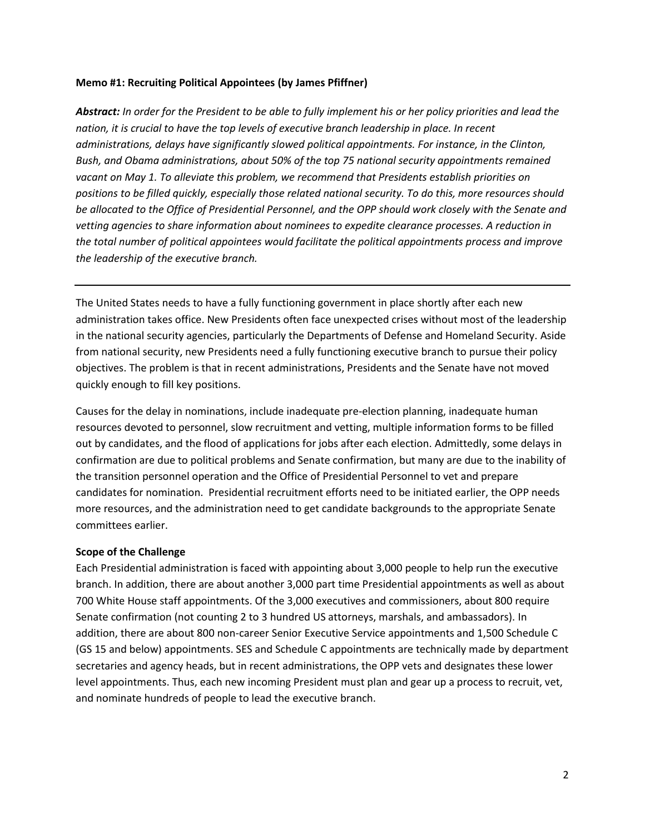#### **Memo #1: Recruiting Political Appointees (by James Pfiffner)**

*Abstract: In order for the President to be able to fully implement his or her policy priorities and lead the nation, it is crucial to have the top levels of executive branch leadership in place. In recent administrations, delays have significantly slowed political appointments. For instance, in the Clinton, Bush, and Obama administrations, about 50% of the top 75 national security appointments remained vacant on May 1. To alleviate this problem, we recommend that Presidents establish priorities on positions to be filled quickly, especially those related national security. To do this, more resources should be allocated to the Office of Presidential Personnel, and the OPP should work closely with the Senate and vetting agencies to share information about nominees to expedite clearance processes. A reduction in the total number of political appointees would facilitate the political appointments process and improve the leadership of the executive branch.*

The United States needs to have a fully functioning government in place shortly after each new administration takes office. New Presidents often face unexpected crises without most of the leadership in the national security agencies, particularly the Departments of Defense and Homeland Security. Aside from national security, new Presidents need a fully functioning executive branch to pursue their policy objectives. The problem is that in recent administrations, Presidents and the Senate have not moved quickly enough to fill key positions.

Causes for the delay in nominations, include inadequate pre-election planning, inadequate human resources devoted to personnel, slow recruitment and vetting, multiple information forms to be filled out by candidates, and the flood of applications for jobs after each election. Admittedly, some delays in confirmation are due to political problems and Senate confirmation, but many are due to the inability of the transition personnel operation and the Office of Presidential Personnel to vet and prepare candidates for nomination. Presidential recruitment efforts need to be initiated earlier, the OPP needs more resources, and the administration need to get candidate backgrounds to the appropriate Senate committees earlier.

#### **Scope of the Challenge**

Each Presidential administration is faced with appointing about 3,000 people to help run the executive branch. In addition, there are about another 3,000 part time Presidential appointments as well as about 700 White House staff appointments. Of the 3,000 executives and commissioners, about 800 require Senate confirmation (not counting 2 to 3 hundred US attorneys, marshals, and ambassadors). In addition, there are about 800 non-career Senior Executive Service appointments and 1,500 Schedule C (GS 15 and below) appointments. SES and Schedule C appointments are technically made by department secretaries and agency heads, but in recent administrations, the OPP vets and designates these lower level appointments. Thus, each new incoming President must plan and gear up a process to recruit, vet, and nominate hundreds of people to lead the executive branch.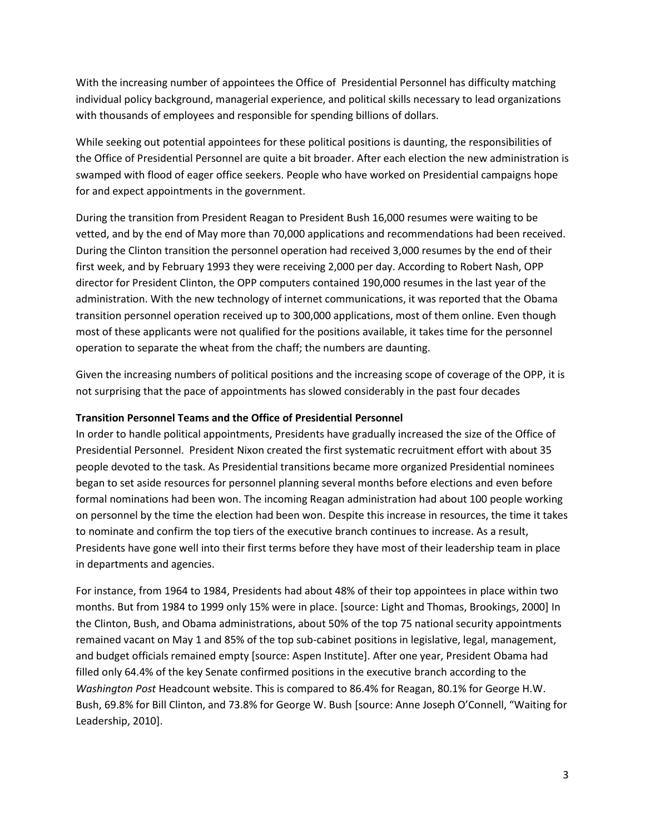With the increasing number of appointees the Office of Presidential Personnel has difficulty matching individual policy background, managerial experience, and political skills necessary to lead organizations with thousands of employees and responsible for spending billions of dollars.

While seeking out potential appointees for these political positions is daunting, the responsibilities of the Office of Presidential Personnel are quite a bit broader. After each election the new administration is swamped with flood of eager office seekers. People who have worked on Presidential campaigns hope for and expect appointments in the government.

During the transition from President Reagan to President Bush 16,000 resumes were waiting to be vetted, and by the end of May more than 70,000 applications and recommendations had been received. During the Clinton transition the personnel operation had received 3,000 resumes by the end of their first week, and by February 1993 they were receiving 2,000 per day. According to Robert Nash, OPP director for President Clinton, the OPP computers contained 190,000 resumes in the last year of the administration. With the new technology of internet communications, it was reported that the Obama transition personnel operation received up to 300,000 applications, most of them online. Even though most of these applicants were not qualified for the positions available, it takes time for the personnel operation to separate the wheat from the chaff; the numbers are daunting.

Given the increasing numbers of political positions and the increasing scope of coverage of the OPP, it is not surprising that the pace of appointments has slowed considerably in the past four decades

## **Transition Personnel Teams and the Office of Presidential Personnel**

In order to handle political appointments, Presidents have gradually increased the size of the Office of Presidential Personnel. President Nixon created the first systematic recruitment effort with about 35 people devoted to the task. As Presidential transitions became more organized Presidential nominees began to set aside resources for personnel planning several months before elections and even before formal nominations had been won. The incoming Reagan administration had about 100 people working on personnel by the time the election had been won. Despite this increase in resources, the time it takes to nominate and confirm the top tiers of the executive branch continues to increase. As a result, Presidents have gone well into their first terms before they have most of their leadership team in place in departments and agencies.

For instance, from 1964 to 1984, Presidents had about 48% of their top appointees in place within two months. But from 1984 to 1999 only 15% were in place. [source: Light and Thomas, Brookings, 2000] In the Clinton, Bush, and Obama administrations, about 50% of the top 75 national security appointments remained vacant on May 1 and 85% of the top sub-cabinet positions in legislative, legal, management, and budget officials remained empty [source: Aspen Institute]. After one year, President Obama had filled only 64.4% of the key Senate confirmed positions in the executive branch according to the *Washington Post* Headcount website. This is compared to 86.4% for Reagan, 80.1% for George H.W. Bush, 69.8% for Bill Clinton, and 73.8% for George W. Bush [source: Anne Joseph O'Connell, "Waiting for Leadership, 2010].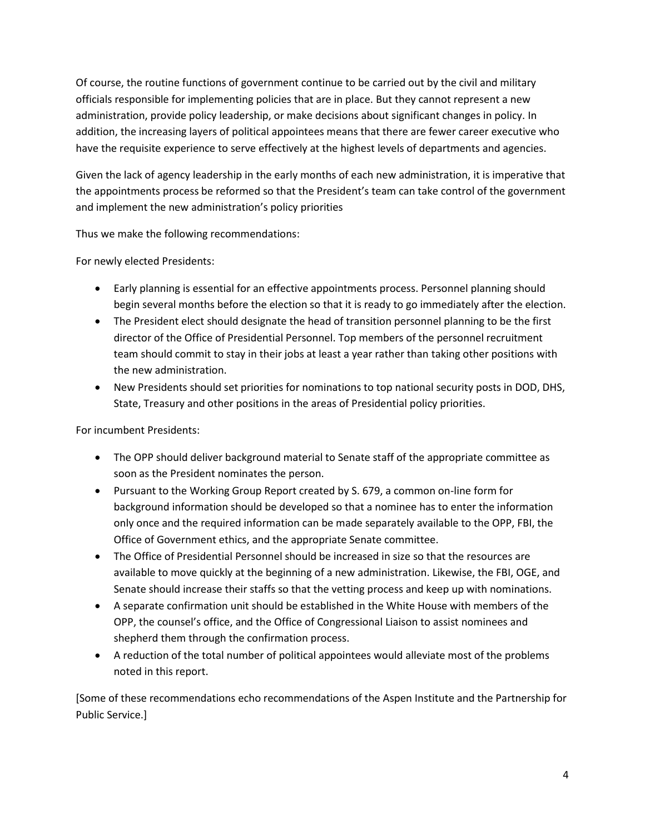Of course, the routine functions of government continue to be carried out by the civil and military officials responsible for implementing policies that are in place. But they cannot represent a new administration, provide policy leadership, or make decisions about significant changes in policy. In addition, the increasing layers of political appointees means that there are fewer career executive who have the requisite experience to serve effectively at the highest levels of departments and agencies.

Given the lack of agency leadership in the early months of each new administration, it is imperative that the appointments process be reformed so that the President's team can take control of the government and implement the new administration's policy priorities

Thus we make the following recommendations:

For newly elected Presidents:

- Early planning is essential for an effective appointments process. Personnel planning should begin several months before the election so that it is ready to go immediately after the election.
- The President elect should designate the head of transition personnel planning to be the first director of the Office of Presidential Personnel. Top members of the personnel recruitment team should commit to stay in their jobs at least a year rather than taking other positions with the new administration.
- New Presidents should set priorities for nominations to top national security posts in DOD, DHS, State, Treasury and other positions in the areas of Presidential policy priorities.

For incumbent Presidents:

- The OPP should deliver background material to Senate staff of the appropriate committee as soon as the President nominates the person.
- Pursuant to the Working Group Report created by S. 679, a common on-line form for background information should be developed so that a nominee has to enter the information only once and the required information can be made separately available to the OPP, FBI, the Office of Government ethics, and the appropriate Senate committee.
- The Office of Presidential Personnel should be increased in size so that the resources are available to move quickly at the beginning of a new administration. Likewise, the FBI, OGE, and Senate should increase their staffs so that the vetting process and keep up with nominations.
- A separate confirmation unit should be established in the White House with members of the OPP, the counsel's office, and the Office of Congressional Liaison to assist nominees and shepherd them through the confirmation process.
- A reduction of the total number of political appointees would alleviate most of the problems noted in this report.

[Some of these recommendations echo recommendations of the Aspen Institute and the Partnership for Public Service.]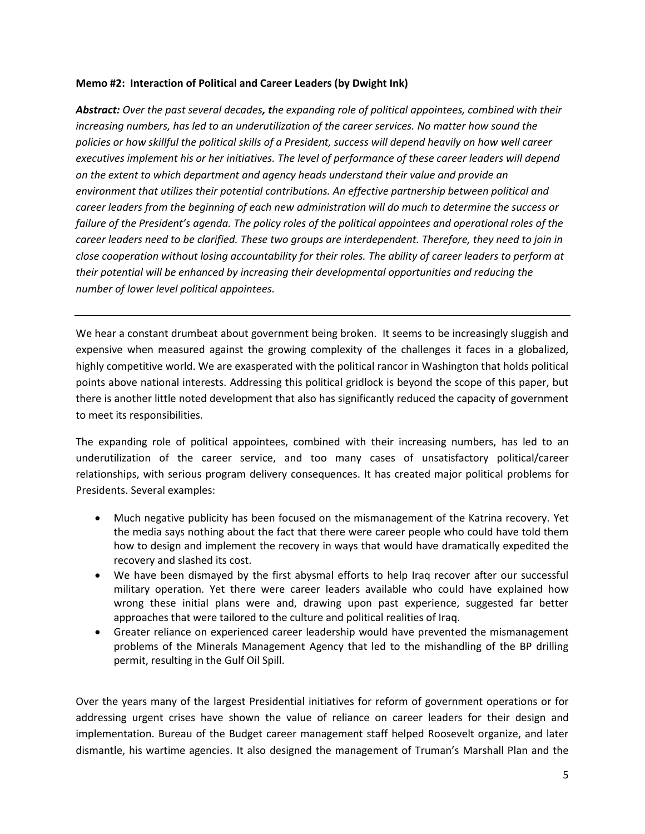## **Memo #2: Interaction of Political and Career Leaders (by Dwight Ink)**

*Abstract: Over the past several decades, the expanding role of political appointees, combined with their increasing numbers, has led to an underutilization of the career services. No matter how sound the policies or how skillful the political skills of a President, success will depend heavily on how well career executives implement his or her initiatives. The level of performance of these career leaders will depend on the extent to which department and agency heads understand their value and provide an environment that utilizes their potential contributions. An effective partnership between political and career leaders from the beginning of each new administration will do much to determine the success or failure of the President's agenda. The policy roles of the political appointees and operational roles of the career leaders need to be clarified. These two groups are interdependent. Therefore, they need to join in close cooperation without losing accountability for their roles. The ability of career leaders to perform at their potential will be enhanced by increasing their developmental opportunities and reducing the number of lower level political appointees.*

We hear a constant drumbeat about government being broken. It seems to be increasingly sluggish and expensive when measured against the growing complexity of the challenges it faces in a globalized, highly competitive world. We are exasperated with the political rancor in Washington that holds political points above national interests. Addressing this political gridlock is beyond the scope of this paper, but there is another little noted development that also has significantly reduced the capacity of government to meet its responsibilities.

The expanding role of political appointees, combined with their increasing numbers, has led to an underutilization of the career service, and too many cases of unsatisfactory political/career relationships, with serious program delivery consequences. It has created major political problems for Presidents. Several examples:

- Much negative publicity has been focused on the mismanagement of the Katrina recovery. Yet the media says nothing about the fact that there were career people who could have told them how to design and implement the recovery in ways that would have dramatically expedited the recovery and slashed its cost.
- We have been dismayed by the first abysmal efforts to help Iraq recover after our successful military operation. Yet there were career leaders available who could have explained how wrong these initial plans were and, drawing upon past experience, suggested far better approaches that were tailored to the culture and political realities of Iraq.
- Greater reliance on experienced career leadership would have prevented the mismanagement problems of the Minerals Management Agency that led to the mishandling of the BP drilling permit, resulting in the Gulf Oil Spill.

Over the years many of the largest Presidential initiatives for reform of government operations or for addressing urgent crises have shown the value of reliance on career leaders for their design and implementation. Bureau of the Budget career management staff helped Roosevelt organize, and later dismantle, his wartime agencies. It also designed the management of Truman's Marshall Plan and the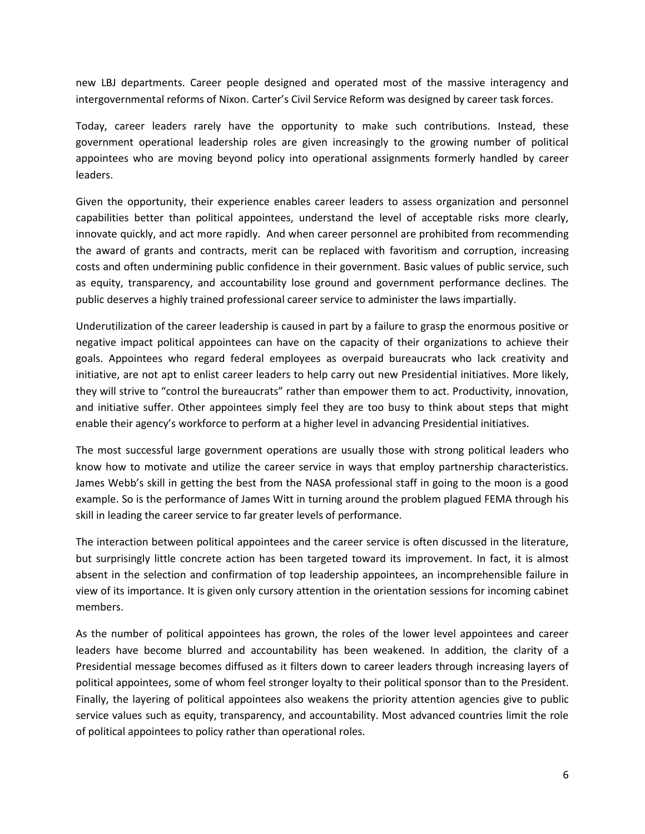new LBJ departments. Career people designed and operated most of the massive interagency and intergovernmental reforms of Nixon. Carter's Civil Service Reform was designed by career task forces.

Today, career leaders rarely have the opportunity to make such contributions. Instead, these government operational leadership roles are given increasingly to the growing number of political appointees who are moving beyond policy into operational assignments formerly handled by career leaders.

Given the opportunity, their experience enables career leaders to assess organization and personnel capabilities better than political appointees, understand the level of acceptable risks more clearly, innovate quickly, and act more rapidly. And when career personnel are prohibited from recommending the award of grants and contracts, merit can be replaced with favoritism and corruption, increasing costs and often undermining public confidence in their government. Basic values of public service, such as equity, transparency, and accountability lose ground and government performance declines. The public deserves a highly trained professional career service to administer the laws impartially.

Underutilization of the career leadership is caused in part by a failure to grasp the enormous positive or negative impact political appointees can have on the capacity of their organizations to achieve their goals. Appointees who regard federal employees as overpaid bureaucrats who lack creativity and initiative, are not apt to enlist career leaders to help carry out new Presidential initiatives. More likely, they will strive to "control the bureaucrats" rather than empower them to act. Productivity, innovation, and initiative suffer. Other appointees simply feel they are too busy to think about steps that might enable their agency's workforce to perform at a higher level in advancing Presidential initiatives.

The most successful large government operations are usually those with strong political leaders who know how to motivate and utilize the career service in ways that employ partnership characteristics. James Webb's skill in getting the best from the NASA professional staff in going to the moon is a good example. So is the performance of James Witt in turning around the problem plagued FEMA through his skill in leading the career service to far greater levels of performance.

The interaction between political appointees and the career service is often discussed in the literature, but surprisingly little concrete action has been targeted toward its improvement. In fact, it is almost absent in the selection and confirmation of top leadership appointees, an incomprehensible failure in view of its importance. It is given only cursory attention in the orientation sessions for incoming cabinet members.

As the number of political appointees has grown, the roles of the lower level appointees and career leaders have become blurred and accountability has been weakened. In addition, the clarity of a Presidential message becomes diffused as it filters down to career leaders through increasing layers of political appointees, some of whom feel stronger loyalty to their political sponsor than to the President. Finally, the layering of political appointees also weakens the priority attention agencies give to public service values such as equity, transparency, and accountability. Most advanced countries limit the role of political appointees to policy rather than operational roles.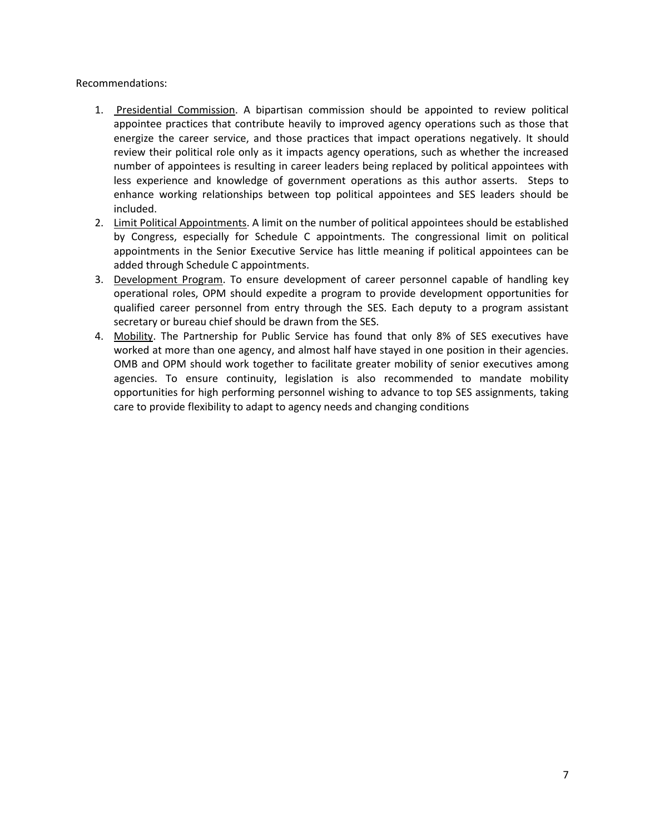## Recommendations:

- 1. Presidential Commission. A bipartisan commission should be appointed to review political appointee practices that contribute heavily to improved agency operations such as those that energize the career service, and those practices that impact operations negatively. It should review their political role only as it impacts agency operations, such as whether the increased number of appointees is resulting in career leaders being replaced by political appointees with less experience and knowledge of government operations as this author asserts. Steps to enhance working relationships between top political appointees and SES leaders should be included.
- 2. Limit Political Appointments. A limit on the number of political appointees should be established by Congress, especially for Schedule C appointments. The congressional limit on political appointments in the Senior Executive Service has little meaning if political appointees can be added through Schedule C appointments.
- 3. Development Program. To ensure development of career personnel capable of handling key operational roles, OPM should expedite a program to provide development opportunities for qualified career personnel from entry through the SES. Each deputy to a program assistant secretary or bureau chief should be drawn from the SES.
- 4. Mobility. The Partnership for Public Service has found that only 8% of SES executives have worked at more than one agency, and almost half have stayed in one position in their agencies. OMB and OPM should work together to facilitate greater mobility of senior executives among agencies. To ensure continuity, legislation is also recommended to mandate mobility opportunities for high performing personnel wishing to advance to top SES assignments, taking care to provide flexibility to adapt to agency needs and changing conditions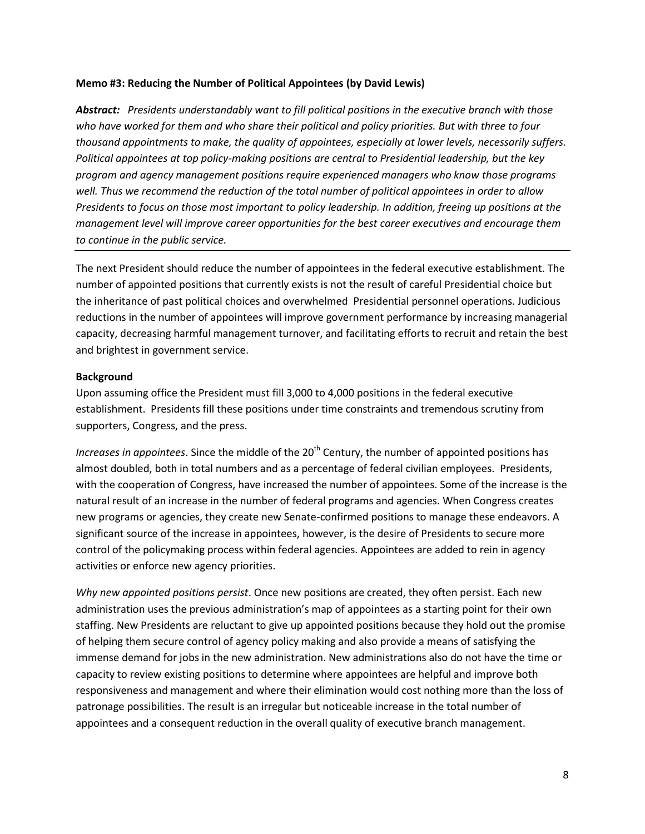#### **Memo #3: Reducing the Number of Political Appointees (by David Lewis)**

*Abstract: Presidents understandably want to fill political positions in the executive branch with those who have worked for them and who share their political and policy priorities. But with three to four thousand appointments to make, the quality of appointees, especially at lower levels, necessarily suffers. Political appointees at top policy-making positions are central to Presidential leadership, but the key program and agency management positions require experienced managers who know those programs well. Thus we recommend the reduction of the total number of political appointees in order to allow Presidents to focus on those most important to policy leadership. In addition, freeing up positions at the management level will improve career opportunities for the best career executives and encourage them to continue in the public service.*

The next President should reduce the number of appointees in the federal executive establishment. The number of appointed positions that currently exists is not the result of careful Presidential choice but the inheritance of past political choices and overwhelmed Presidential personnel operations. Judicious reductions in the number of appointees will improve government performance by increasing managerial capacity, decreasing harmful management turnover, and facilitating efforts to recruit and retain the best and brightest in government service.

#### **Background**

Upon assuming office the President must fill 3,000 to 4,000 positions in the federal executive establishment. Presidents fill these positions under time constraints and tremendous scrutiny from supporters, Congress, and the press.

*Increases in appointees*. Since the middle of the 20<sup>th</sup> Century, the number of appointed positions has almost doubled, both in total numbers and as a percentage of federal civilian employees. Presidents, with the cooperation of Congress, have increased the number of appointees. Some of the increase is the natural result of an increase in the number of federal programs and agencies. When Congress creates new programs or agencies, they create new Senate-confirmed positions to manage these endeavors. A significant source of the increase in appointees, however, is the desire of Presidents to secure more control of the policymaking process within federal agencies. Appointees are added to rein in agency activities or enforce new agency priorities.

*Why new appointed positions persist*. Once new positions are created, they often persist. Each new administration uses the previous administration's map of appointees as a starting point for their own staffing. New Presidents are reluctant to give up appointed positions because they hold out the promise of helping them secure control of agency policy making and also provide a means of satisfying the immense demand for jobs in the new administration. New administrations also do not have the time or capacity to review existing positions to determine where appointees are helpful and improve both responsiveness and management and where their elimination would cost nothing more than the loss of patronage possibilities. The result is an irregular but noticeable increase in the total number of appointees and a consequent reduction in the overall quality of executive branch management.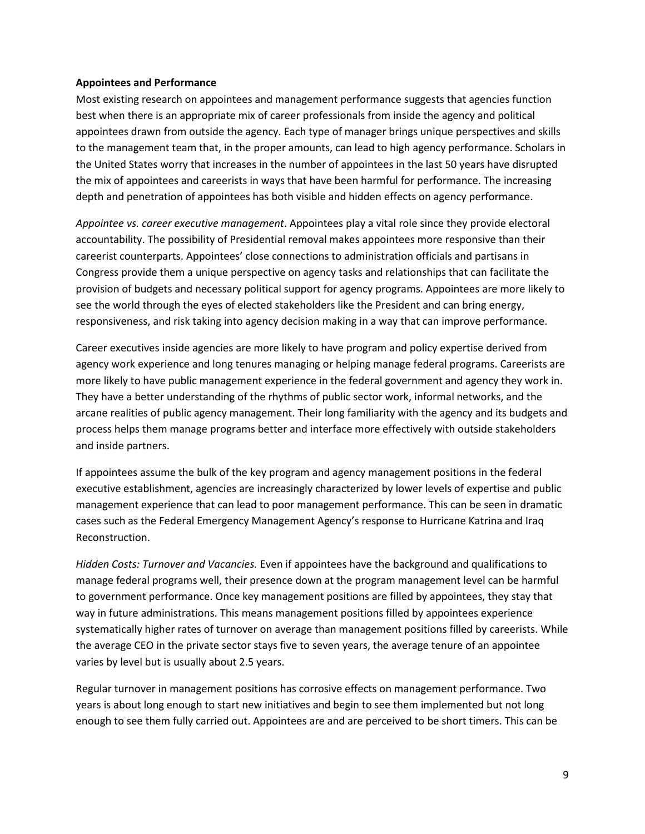#### **Appointees and Performance**

Most existing research on appointees and management performance suggests that agencies function best when there is an appropriate mix of career professionals from inside the agency and political appointees drawn from outside the agency. Each type of manager brings unique perspectives and skills to the management team that, in the proper amounts, can lead to high agency performance. Scholars in the United States worry that increases in the number of appointees in the last 50 years have disrupted the mix of appointees and careerists in ways that have been harmful for performance. The increasing depth and penetration of appointees has both visible and hidden effects on agency performance.

*Appointee vs. career executive management*. Appointees play a vital role since they provide electoral accountability. The possibility of Presidential removal makes appointees more responsive than their careerist counterparts. Appointees' close connections to administration officials and partisans in Congress provide them a unique perspective on agency tasks and relationships that can facilitate the provision of budgets and necessary political support for agency programs. Appointees are more likely to see the world through the eyes of elected stakeholders like the President and can bring energy, responsiveness, and risk taking into agency decision making in a way that can improve performance.

Career executives inside agencies are more likely to have program and policy expertise derived from agency work experience and long tenures managing or helping manage federal programs. Careerists are more likely to have public management experience in the federal government and agency they work in. They have a better understanding of the rhythms of public sector work, informal networks, and the arcane realities of public agency management. Their long familiarity with the agency and its budgets and process helps them manage programs better and interface more effectively with outside stakeholders and inside partners.

If appointees assume the bulk of the key program and agency management positions in the federal executive establishment, agencies are increasingly characterized by lower levels of expertise and public management experience that can lead to poor management performance. This can be seen in dramatic cases such as the Federal Emergency Management Agency's response to Hurricane Katrina and Iraq Reconstruction.

*Hidden Costs: Turnover and Vacancies.* Even if appointees have the background and qualifications to manage federal programs well, their presence down at the program management level can be harmful to government performance. Once key management positions are filled by appointees, they stay that way in future administrations. This means management positions filled by appointees experience systematically higher rates of turnover on average than management positions filled by careerists. While the average CEO in the private sector stays five to seven years, the average tenure of an appointee varies by level but is usually about 2.5 years.

Regular turnover in management positions has corrosive effects on management performance. Two years is about long enough to start new initiatives and begin to see them implemented but not long enough to see them fully carried out. Appointees are and are perceived to be short timers. This can be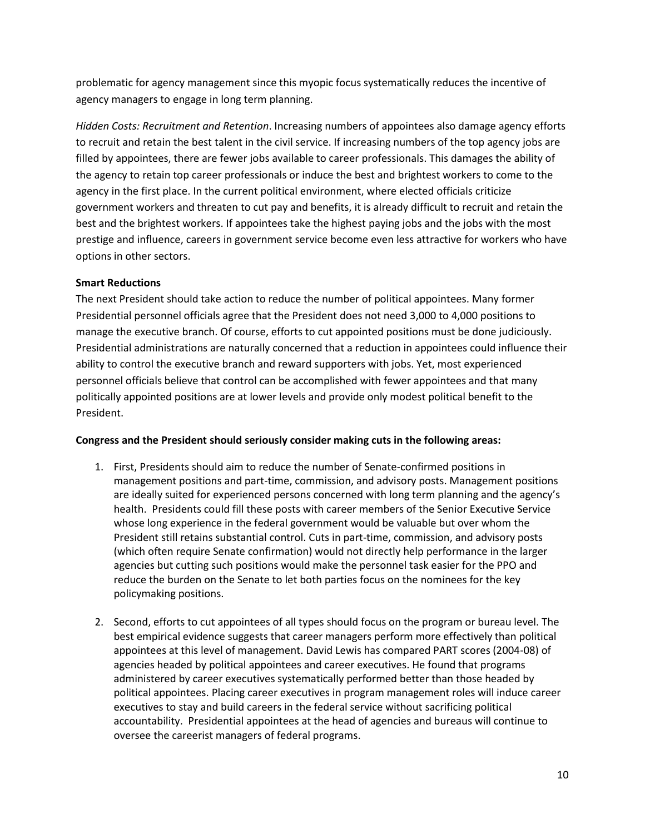problematic for agency management since this myopic focus systematically reduces the incentive of agency managers to engage in long term planning.

*Hidden Costs: Recruitment and Retention*. Increasing numbers of appointees also damage agency efforts to recruit and retain the best talent in the civil service. If increasing numbers of the top agency jobs are filled by appointees, there are fewer jobs available to career professionals. This damages the ability of the agency to retain top career professionals or induce the best and brightest workers to come to the agency in the first place. In the current political environment, where elected officials criticize government workers and threaten to cut pay and benefits, it is already difficult to recruit and retain the best and the brightest workers. If appointees take the highest paying jobs and the jobs with the most prestige and influence, careers in government service become even less attractive for workers who have options in other sectors.

## **Smart Reductions**

The next President should take action to reduce the number of political appointees. Many former Presidential personnel officials agree that the President does not need 3,000 to 4,000 positions to manage the executive branch. Of course, efforts to cut appointed positions must be done judiciously. Presidential administrations are naturally concerned that a reduction in appointees could influence their ability to control the executive branch and reward supporters with jobs. Yet, most experienced personnel officials believe that control can be accomplished with fewer appointees and that many politically appointed positions are at lower levels and provide only modest political benefit to the President.

## **Congress and the President should seriously consider making cuts in the following areas:**

- 1. First, Presidents should aim to reduce the number of Senate-confirmed positions in management positions and part-time, commission, and advisory posts. Management positions are ideally suited for experienced persons concerned with long term planning and the agency's health. Presidents could fill these posts with career members of the Senior Executive Service whose long experience in the federal government would be valuable but over whom the President still retains substantial control. Cuts in part-time, commission, and advisory posts (which often require Senate confirmation) would not directly help performance in the larger agencies but cutting such positions would make the personnel task easier for the PPO and reduce the burden on the Senate to let both parties focus on the nominees for the key policymaking positions.
- 2. Second, efforts to cut appointees of all types should focus on the program or bureau level. The best empirical evidence suggests that career managers perform more effectively than political appointees at this level of management. David Lewis has compared PART scores (2004-08) of agencies headed by political appointees and career executives. He found that programs administered by career executives systematically performed better than those headed by political appointees. Placing career executives in program management roles will induce career executives to stay and build careers in the federal service without sacrificing political accountability. Presidential appointees at the head of agencies and bureaus will continue to oversee the careerist managers of federal programs.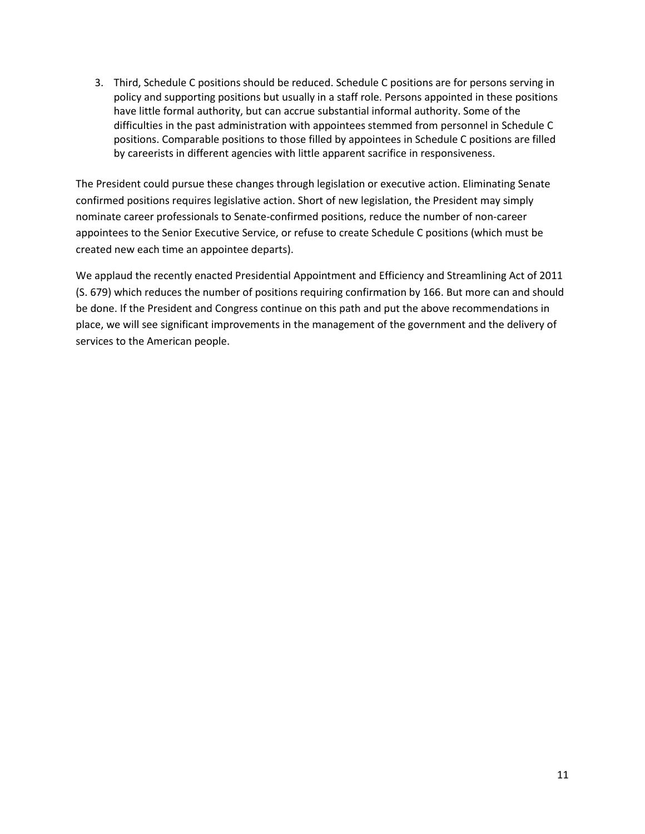3. Third, Schedule C positions should be reduced. Schedule C positions are for persons serving in policy and supporting positions but usually in a staff role. Persons appointed in these positions have little formal authority, but can accrue substantial informal authority. Some of the difficulties in the past administration with appointees stemmed from personnel in Schedule C positions. Comparable positions to those filled by appointees in Schedule C positions are filled by careerists in different agencies with little apparent sacrifice in responsiveness.

The President could pursue these changes through legislation or executive action. Eliminating Senate confirmed positions requires legislative action. Short of new legislation, the President may simply nominate career professionals to Senate-confirmed positions, reduce the number of non-career appointees to the Senior Executive Service, or refuse to create Schedule C positions (which must be created new each time an appointee departs).

We applaud the recently enacted Presidential Appointment and Efficiency and Streamlining Act of 2011 (S. 679) which reduces the number of positions requiring confirmation by 166. But more can and should be done. If the President and Congress continue on this path and put the above recommendations in place, we will see significant improvements in the management of the government and the delivery of services to the American people.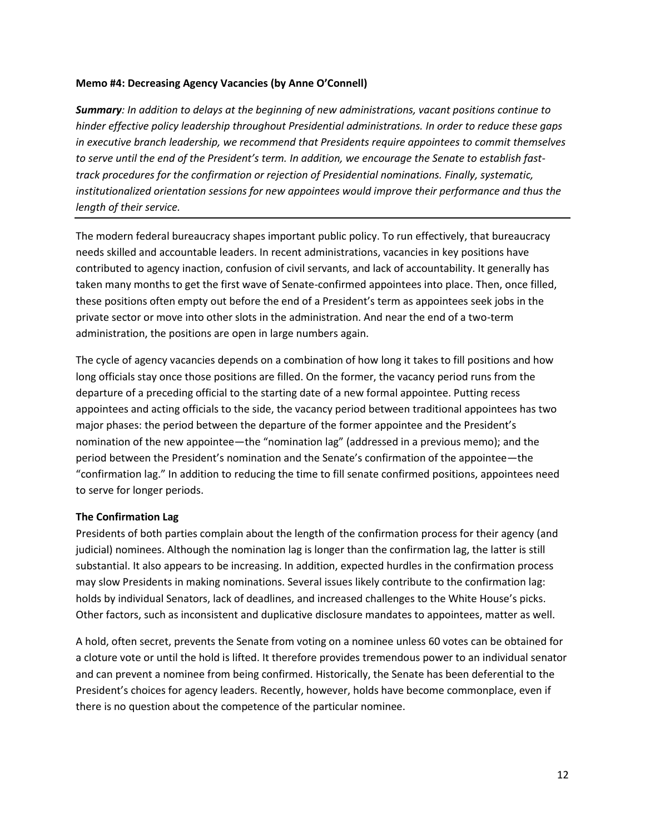## **Memo #4: Decreasing Agency Vacancies (by Anne O'Connell)**

*Summary: In addition to delays at the beginning of new administrations, vacant positions continue to hinder effective policy leadership throughout Presidential administrations. In order to reduce these gaps in executive branch leadership, we recommend that Presidents require appointees to commit themselves to serve until the end of the President's term. In addition, we encourage the Senate to establish fasttrack procedures for the confirmation or rejection of Presidential nominations. Finally, systematic, institutionalized orientation sessions for new appointees would improve their performance and thus the length of their service.*

The modern federal bureaucracy shapes important public policy. To run effectively, that bureaucracy needs skilled and accountable leaders. In recent administrations, vacancies in key positions have contributed to agency inaction, confusion of civil servants, and lack of accountability. It generally has taken many months to get the first wave of Senate-confirmed appointees into place. Then, once filled, these positions often empty out before the end of a President's term as appointees seek jobs in the private sector or move into other slots in the administration. And near the end of a two-term administration, the positions are open in large numbers again.

The cycle of agency vacancies depends on a combination of how long it takes to fill positions and how long officials stay once those positions are filled. On the former, the vacancy period runs from the departure of a preceding official to the starting date of a new formal appointee. Putting recess appointees and acting officials to the side, the vacancy period between traditional appointees has two major phases: the period between the departure of the former appointee and the President's nomination of the new appointee—the "nomination lag" (addressed in a previous memo); and the period between the President's nomination and the Senate's confirmation of the appointee—the "confirmation lag." In addition to reducing the time to fill senate confirmed positions, appointees need to serve for longer periods.

#### **The Confirmation Lag**

Presidents of both parties complain about the length of the confirmation process for their agency (and judicial) nominees. Although the nomination lag is longer than the confirmation lag, the latter is still substantial. It also appears to be increasing. In addition, expected hurdles in the confirmation process may slow Presidents in making nominations. Several issues likely contribute to the confirmation lag: holds by individual Senators, lack of deadlines, and increased challenges to the White House's picks. Other factors, such as inconsistent and duplicative disclosure mandates to appointees, matter as well.

A hold, often secret, prevents the Senate from voting on a nominee unless 60 votes can be obtained for a cloture vote or until the hold is lifted. It therefore provides tremendous power to an individual senator and can prevent a nominee from being confirmed. Historically, the Senate has been deferential to the President's choices for agency leaders. Recently, however, holds have become commonplace, even if there is no question about the competence of the particular nominee.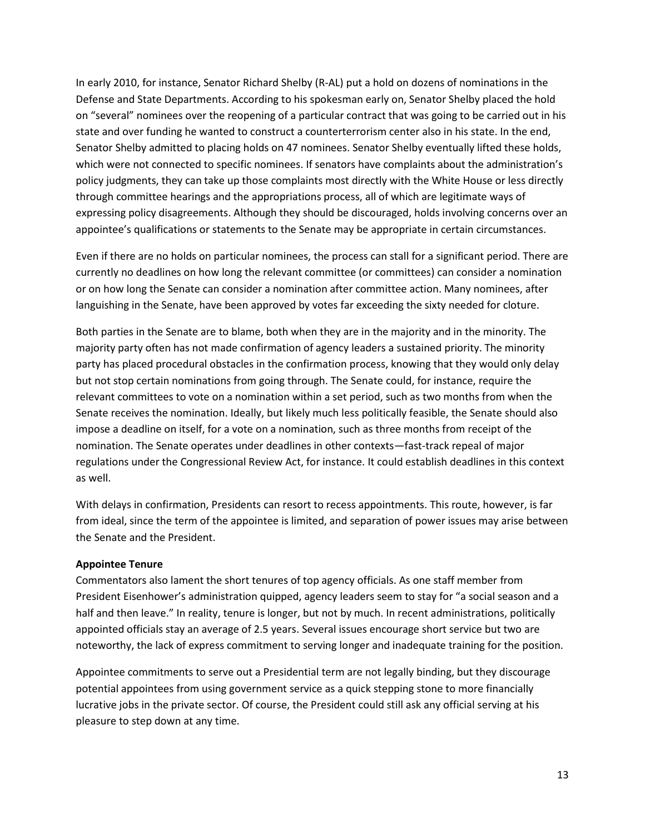In early 2010, for instance, Senator Richard Shelby (R-AL) put a hold on dozens of nominations in the Defense and State Departments. According to his spokesman early on, Senator Shelby placed the hold on "several" nominees over the reopening of a particular contract that was going to be carried out in his state and over funding he wanted to construct a counterterrorism center also in his state. In the end, Senator Shelby admitted to placing holds on 47 nominees. Senator Shelby eventually lifted these holds, which were not connected to specific nominees. If senators have complaints about the administration's policy judgments, they can take up those complaints most directly with the White House or less directly through committee hearings and the appropriations process, all of which are legitimate ways of expressing policy disagreements. Although they should be discouraged, holds involving concerns over an appointee's qualifications or statements to the Senate may be appropriate in certain circumstances.

Even if there are no holds on particular nominees, the process can stall for a significant period. There are currently no deadlines on how long the relevant committee (or committees) can consider a nomination or on how long the Senate can consider a nomination after committee action. Many nominees, after languishing in the Senate, have been approved by votes far exceeding the sixty needed for cloture.

Both parties in the Senate are to blame, both when they are in the majority and in the minority. The majority party often has not made confirmation of agency leaders a sustained priority. The minority party has placed procedural obstacles in the confirmation process, knowing that they would only delay but not stop certain nominations from going through. The Senate could, for instance, require the relevant committees to vote on a nomination within a set period, such as two months from when the Senate receives the nomination. Ideally, but likely much less politically feasible, the Senate should also impose a deadline on itself, for a vote on a nomination, such as three months from receipt of the nomination. The Senate operates under deadlines in other contexts—fast-track repeal of major regulations under the Congressional Review Act, for instance. It could establish deadlines in this context as well.

With delays in confirmation, Presidents can resort to recess appointments. This route, however, is far from ideal, since the term of the appointee is limited, and separation of power issues may arise between the Senate and the President.

## **Appointee Tenure**

Commentators also lament the short tenures of top agency officials. As one staff member from President Eisenhower's administration quipped, agency leaders seem to stay for "a social season and a half and then leave." In reality, tenure is longer, but not by much. In recent administrations, politically appointed officials stay an average of 2.5 years. Several issues encourage short service but two are noteworthy, the lack of express commitment to serving longer and inadequate training for the position.

Appointee commitments to serve out a Presidential term are not legally binding, but they discourage potential appointees from using government service as a quick stepping stone to more financially lucrative jobs in the private sector. Of course, the President could still ask any official serving at his pleasure to step down at any time.